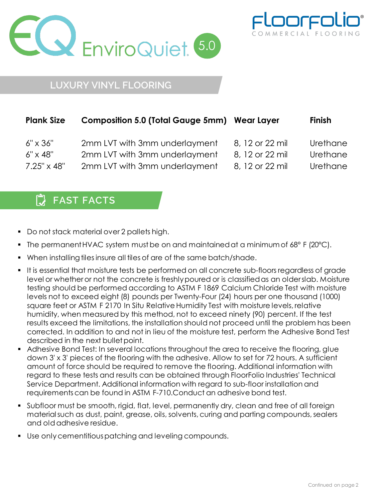



## **LUXURY VINYL FLOORING**

| <b>Plank Size</b>    | <b>Composition 5.0 (Total Gauge 5mm) Wear Layer</b> |                 | <b>Finish</b> |
|----------------------|-----------------------------------------------------|-----------------|---------------|
| $6" \times 36"$      | 2mm LVT with 3mm underlayment                       | 8, 12 or 22 mil | Urethane      |
| $6'' \times 48''$    | 2mm LVT with 3mm underlayment                       | 8, 12 or 22 mil | Urethane      |
| $7.25'' \times 48''$ | 2mm LVT with 3mm underlayment                       | 8, 12 or 22 mil | Urethane      |

## 【】 **FAST FACTS**

- Do not stack material over 2 pallets high.
- The permanent HVAC system must be on and maintained at a minimum of 68° F (20°C).
- When installing tiles insure all tiles of are of the same batch/shade.
- It is essential that moisture tests be performed on all concrete sub-floors regardless of grade level or whetheror not the concrete is freshlypoured or is classifiedas an olderslab. Moisture testing should be performed according to ASTM F 1869 Calcium Chloride Test with moisture levels not to exceed eight (8) pounds per Twenty-Four (24) hours per one thousand (1000) square feet or ASTM F 2170 In Situ Relative Humidity Test with moisture levels, relative humidity, when measured by this method, not to exceed ninety (90) percent. If the test results exceed the limitations, the installation should not proceed until the problem has been corrected. In addition to and not in lieu of the moisture test, perform the Adhesive Bond Test described in the next bullet point.
- Adhesive Bond Test: In several locations throughout the area to receive the flooring, glue down 3' x 3' pieces of the flooring with the adhesive. Allow to set for 72 hours. A sufficient amount of force should be required to remove the flooring. Additional information with regard to these tests and results can be obtained through FloorFolio Industries' Technical Service Department. Additional information with regard to sub-floor installation and requirementscan be found in ASTM F-710.Conduct an adhesive bond test.
- Subfloor must be smooth, rigid, flat, level, permanently dry, clean and free of all foreign material such as dust, paint, grease, oils, solvents, curing and parting compounds, sealers and oldadhesive residue.
- Use onlycementitiouspatching and leveling compounds.